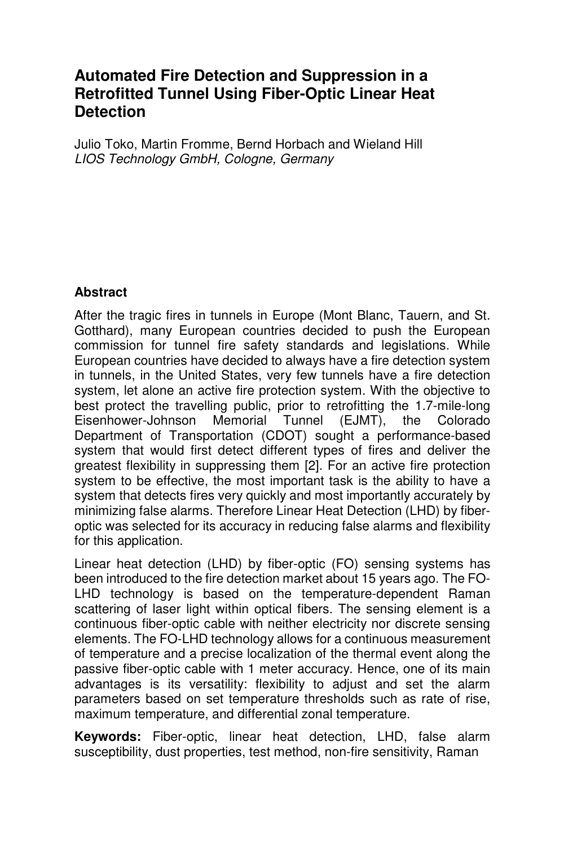# **Automated Fire Detection and Suppression in a Retrofitted Tunnel Using Fiber-Optic Linear Heat Detection**

Julio Toko, Martin Fromme, Bernd Horbach and Wieland Hill LIOS Technology GmbH, Cologne, Germany

#### **Abstract**

After the tragic fires in tunnels in Europe (Mont Blanc, Tauern, and St. Gotthard), many European countries decided to push the European commission for tunnel fire safety standards and legislations. While European countries have decided to always have a fire detection system in tunnels, in the United States, very few tunnels have a fire detection system, let alone an active fire protection system. With the objective to best protect the travelling public, prior to retrofitting the 1.7-mile-long Eisenhower-Johnson Memorial Tunnel (EJMT), the Colorado Department of Transportation (CDOT) sought a performance-based system that would first detect different types of fires and deliver the greatest flexibility in suppressing them [2]. For an active fire protection system to be effective, the most important task is the ability to have a system that detects fires very quickly and most importantly accurately by minimizing false alarms. Therefore Linear Heat Detection (LHD) by fiberoptic was selected for its accuracy in reducing false alarms and flexibility for this application.

Linear heat detection (LHD) by fiber-optic (FO) sensing systems has been introduced to the fire detection market about 15 years ago. The FO-LHD technology is based on the temperature-dependent Raman scattering of laser light within optical fibers. The sensing element is a continuous fiber-optic cable with neither electricity nor discrete sensing elements. The FO-LHD technology allows for a continuous measurement of temperature and a precise localization of the thermal event along the passive fiber-optic cable with 1 meter accuracy. Hence, one of its main advantages is its versatility: flexibility to adjust and set the alarm parameters based on set temperature thresholds such as rate of rise, maximum temperature, and differential zonal temperature.

**Keywords:** Fiber-optic, linear heat detection, LHD, false alarm susceptibility, dust properties, test method, non-fire sensitivity, Raman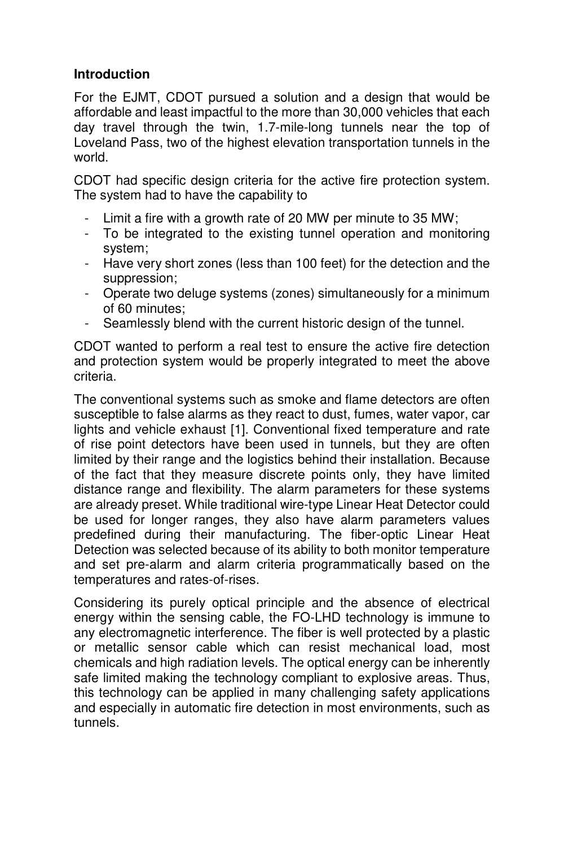## **Introduction**

For the EJMT, CDOT pursued a solution and a design that would be affordable and least impactful to the more than 30,000 vehicles that each day travel through the twin, 1.7-mile-long tunnels near the top of Loveland Pass, two of the highest elevation transportation tunnels in the world.

CDOT had specific design criteria for the active fire protection system. The system had to have the capability to

- Limit a fire with a growth rate of 20 MW per minute to 35 MW;
- To be integrated to the existing tunnel operation and monitoring system;
- Have very short zones (less than 100 feet) for the detection and the suppression;
- Operate two deluge systems (zones) simultaneously for a minimum of 60 minutes;
- Seamlessly blend with the current historic design of the tunnel.

CDOT wanted to perform a real test to ensure the active fire detection and protection system would be properly integrated to meet the above criteria.

The conventional systems such as smoke and flame detectors are often susceptible to false alarms as they react to dust, fumes, water vapor, car lights and vehicle exhaust [1]. Conventional fixed temperature and rate of rise point detectors have been used in tunnels, but they are often limited by their range and the logistics behind their installation. Because of the fact that they measure discrete points only, they have limited distance range and flexibility. The alarm parameters for these systems are already preset. While traditional wire-type Linear Heat Detector could be used for longer ranges, they also have alarm parameters values predefined during their manufacturing. The fiber-optic Linear Heat Detection was selected because of its ability to both monitor temperature and set pre-alarm and alarm criteria programmatically based on the temperatures and rates-of-rises.

Considering its purely optical principle and the absence of electrical energy within the sensing cable, the FO-LHD technology is immune to any electromagnetic interference. The fiber is well protected by a plastic or metallic sensor cable which can resist mechanical load, most chemicals and high radiation levels. The optical energy can be inherently safe limited making the technology compliant to explosive areas. Thus, this technology can be applied in many challenging safety applications and especially in automatic fire detection in most environments, such as tunnels.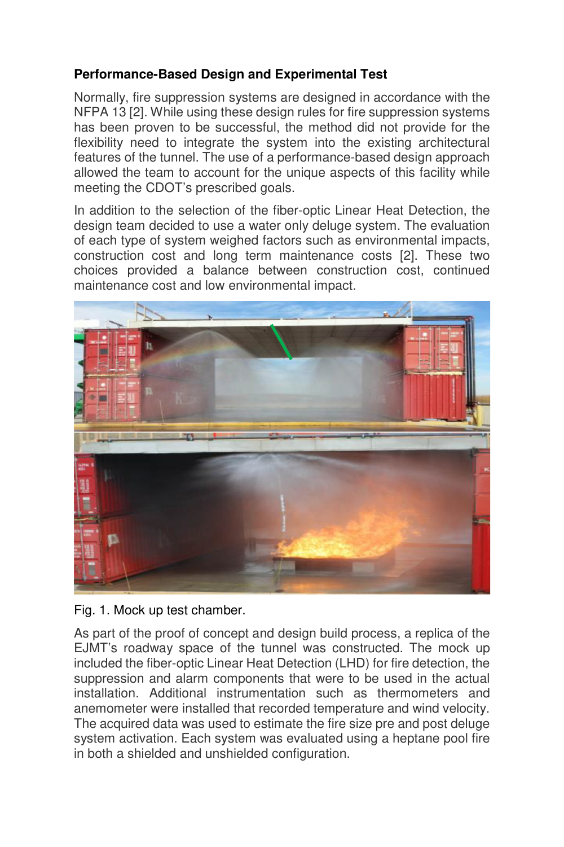## **Performance-Based Design and Experimental Test**

Normally, fire suppression systems are designed in accordance with the NFPA 13 [2]. While using these design rules for fire suppression systems has been proven to be successful, the method did not provide for the flexibility need to integrate the system into the existing architectural features of the tunnel. The use of a performance-based design approach allowed the team to account for the unique aspects of this facility while meeting the CDOT's prescribed goals.

In addition to the selection of the fiber-optic Linear Heat Detection, the design team decided to use a water only deluge system. The evaluation of each type of system weighed factors such as environmental impacts, construction cost and long term maintenance costs [2]. These two choices provided a balance between construction cost, continued maintenance cost and low environmental impact.



Fig. 1. Mock up test chamber.

As part of the proof of concept and design build process, a replica of the EJMT's roadway space of the tunnel was constructed. The mock up included the fiber-optic Linear Heat Detection (LHD) for fire detection, the suppression and alarm components that were to be used in the actual installation. Additional instrumentation such as thermometers and anemometer were installed that recorded temperature and wind velocity. The acquired data was used to estimate the fire size pre and post deluge system activation. Each system was evaluated using a heptane pool fire in both a shielded and unshielded configuration.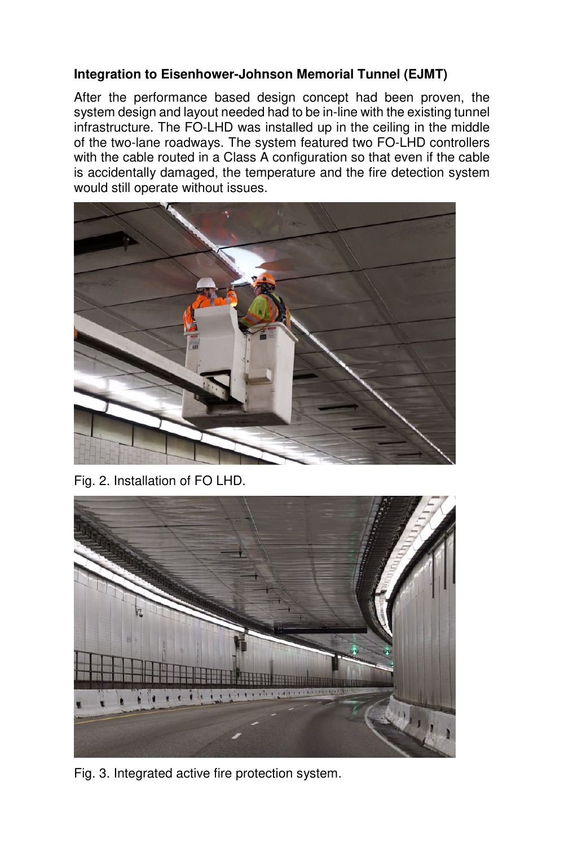## **Integration to Eisenhower-Johnson Memorial Tunnel (EJMT)**

After the performance based design concept had been proven, the system design and layout needed had to be in-line with the existing tunnel infrastructure. The FO-LHD was installed up in the ceiling in the middle of the two-lane roadways. The system featured two FO-LHD controllers with the cable routed in a Class A configuration so that even if the cable is accidentally damaged, the temperature and the fire detection system would still operate without issues.



Fig. 2. Installation of FO LHD.



Fig. 3. Integrated active fire protection system.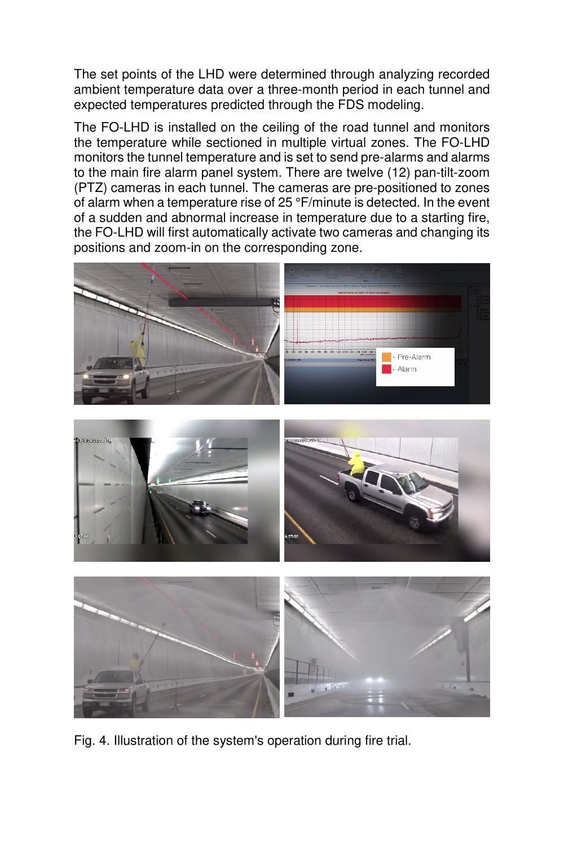The set points of the LHD were determined through analyzing recorded ambient temperature data over a three-month period in each tunnel and expected temperatures predicted through the FDS modeling.

The FO-LHD is installed on the ceiling of the road tunnel and monitors the temperature while sectioned in multiple virtual zones. The FO-LHD monitors the tunnel temperature and is set to send pre-alarms and alarms to the main fire alarm panel system. There are twelve (12) pan-tilt-zoom (PTZ) cameras in each tunnel. The cameras are pre-positioned to zones of alarm when a temperature rise of 25 °F/minute is detected. In the event of a sudden and abnormal increase in temperature due to a starting fire, the FO-LHD will first automatically activate two cameras and changing its positions and zoom-in on the corresponding zone.



Fig. 4. Illustration of the system's operation during fire trial.